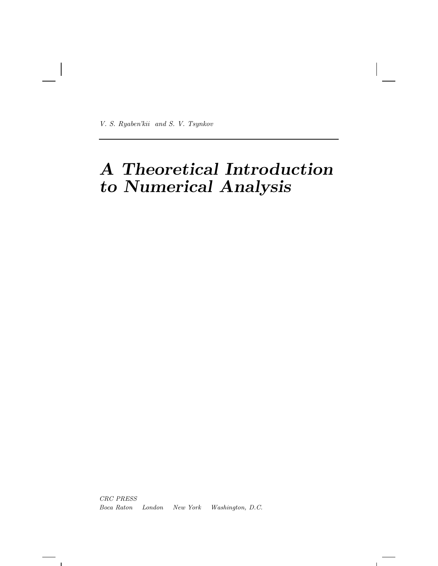*V. S. Ryaben'kii and S. V. Tsynkov*

# *A Theoretical Introduction to Numerical Analysis*

*CRC PRESS Boca Raton London New York Washington, D.C.*

 $\mathbf{I}$ 

 $\mathbf{I}$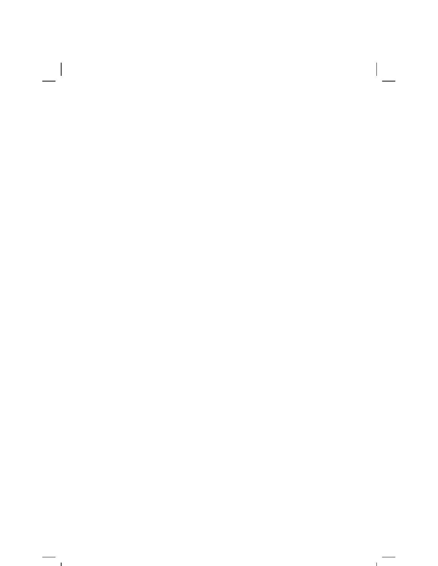$\frac{1}{2}$  $\mathbb{L}$ 

 $\equiv$   $\frac{1}{1}$ 

 $\overline{\phantom{0}}$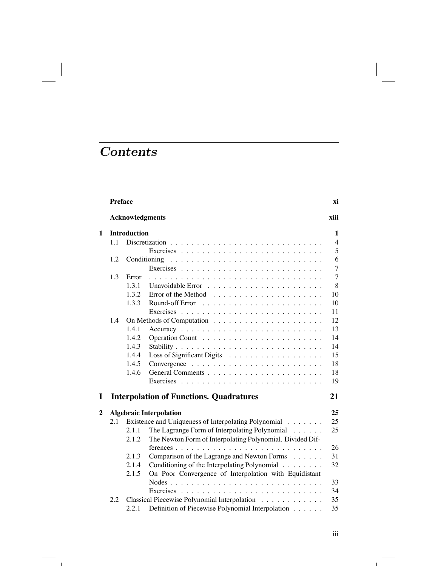## *Contents*

 $\sim 10^{-1}$ 

|                | <b>Preface</b> |                        |                                                           | хi             |
|----------------|----------------|------------------------|-----------------------------------------------------------|----------------|
|                |                | <b>Acknowledgments</b> |                                                           | xiii           |
| 1              |                | <b>Introduction</b>    |                                                           | 1              |
|                | 1.1            |                        |                                                           | $\overline{4}$ |
|                |                |                        |                                                           | 5              |
|                | 1.2            |                        |                                                           | 6              |
|                |                |                        |                                                           | $\overline{7}$ |
|                | 1.3            | Error                  |                                                           | $\overline{7}$ |
|                |                | 1.3.1                  |                                                           | 8              |
|                |                | 1.3.2                  |                                                           | 10             |
|                |                | 1.3.3                  |                                                           | 10             |
|                |                |                        |                                                           | 11             |
|                | 1.4            |                        |                                                           | 12             |
|                |                | 1.4.1                  |                                                           | 13             |
|                |                | 1.4.2                  |                                                           | 14             |
|                |                | 1.4.3                  |                                                           | 14             |
|                |                | 1.4.4                  |                                                           | 15             |
|                |                | 1.4.5                  | $Convergence \t \t \t \t \t \t \t$                        | 18             |
|                |                | 1.4.6                  |                                                           | 18             |
|                |                |                        |                                                           | 19             |
| I              |                |                        | <b>Interpolation of Functions. Quadratures</b>            | 21             |
| $\overline{c}$ |                |                        | <b>Algebraic Interpolation</b>                            | 25             |
|                | 2.1            |                        | Existence and Uniqueness of Interpolating Polynomial      | 25             |
|                |                | 2.1.1                  | The Lagrange Form of Interpolating Polynomial             | 25             |
|                |                | 2.1.2                  | The Newton Form of Interpolating Polynomial. Divided Dif- |                |
|                |                |                        |                                                           | 26             |
|                |                | 2.1.3                  | Comparison of the Lagrange and Newton Forms               | 31             |
|                |                | 2.1.4                  | Conditioning of the Interpolating Polynomial              | 32             |
|                |                | 2.1.5                  | On Poor Convergence of Interpolation with Equidistant     |                |
|                |                |                        |                                                           | 33             |
|                |                |                        |                                                           | 34             |
|                | 2.2            |                        | Classical Piecewise Polynomial Interpolation              | 35             |
|                |                | 2.2.1                  | Definition of Piecewise Polynomial Interpolation          | 35             |

 $\mathbf{I}$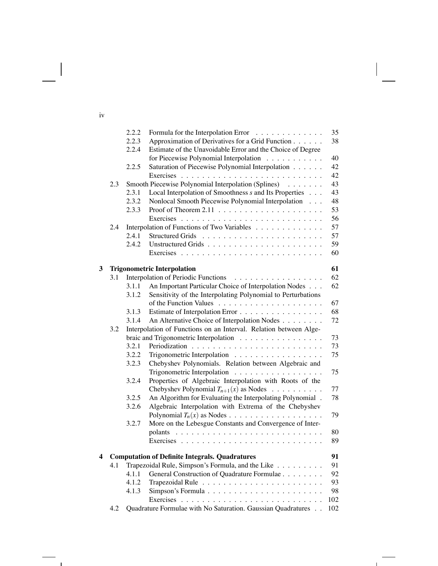|   |     | 2.2.2 | Formula for the Interpolation Error                                      | 35  |
|---|-----|-------|--------------------------------------------------------------------------|-----|
|   |     | 2.2.3 | Approximation of Derivatives for a Grid Function                         | 38  |
|   |     | 2.2.4 | Estimate of the Unavoidable Error and the Choice of Degree               |     |
|   |     |       | for Piecewise Polynomial Interpolation                                   | 40  |
|   |     | 2.2.5 | Saturation of Piecewise Polynomial Interpolation                         | 42  |
|   |     |       |                                                                          | 42  |
|   | 2.3 |       | Smooth Piecewise Polynomial Interpolation (Splines)                      | 43  |
|   |     | 2.3.1 | Local Interpolation of Smoothness s and Its Properties                   | 43  |
|   |     | 2.3.2 | Nonlocal Smooth Piecewise Polynomial Interpolation                       | 48  |
|   |     | 2.3.3 | Proof of Theorem 2.11 $\ldots \ldots \ldots \ldots \ldots \ldots \ldots$ | 53  |
|   |     |       |                                                                          | 56  |
|   | 2.4 |       | Interpolation of Functions of Two Variables                              | 57  |
|   |     | 2.4.1 |                                                                          | 57  |
|   |     | 2.4.2 |                                                                          | 59  |
|   |     |       |                                                                          | 60  |
| 3 |     |       | <b>Trigonometric Interpolation</b>                                       | 61  |
|   | 3.1 |       | Interpolation of Periodic Functions<br>.                                 | 62  |
|   |     | 3.1.1 | An Important Particular Choice of Interpolation Nodes                    | 62  |
|   |     | 3.1.2 | Sensitivity of the Interpolating Polynomial to Perturbations             |     |
|   |     |       |                                                                          | 67  |
|   |     | 3.1.3 | Estimate of Interpolation Error                                          | 68  |
|   |     | 3.1.4 | An Alternative Choice of Interpolation Nodes                             | 72  |
|   | 3.2 |       | Interpolation of Functions on an Interval. Relation between Alge-        |     |
|   |     |       | braic and Trigonometric Interpolation                                    | 73  |
|   |     | 3.2.1 |                                                                          | 73  |
|   |     | 3.2.2 | Trigonometric Interpolation                                              | 75  |
|   |     | 3.2.3 | Chebyshev Polynomials. Relation between Algebraic and                    |     |
|   |     |       | Trigonometric Interpolation                                              | 75  |
|   |     | 3.2.4 | Properties of Algebraic Interpolation with Roots of the                  |     |
|   |     |       | Chebyshev Polynomial $T_{n+1}(x)$ as Nodes                               | 77  |
|   |     | 3.2.5 | An Algorithm for Evaluating the Interpolating Polynomial.                | 78  |
|   |     | 3.2.6 | Algebraic Interpolation with Extrema of the Chebyshev                    |     |
|   |     |       |                                                                          | 79  |
|   |     | 3.2.7 | More on the Lebesgue Constants and Convergence of Inter-                 |     |
|   |     |       |                                                                          | 80  |
|   |     |       |                                                                          | 89  |
| 4 |     |       | <b>Computation of Definite Integrals. Quadratures</b>                    | 91  |
|   | 4.1 |       | Trapezoidal Rule, Simpson's Formula, and the Like                        | 91  |
|   |     | 4.1.1 | General Construction of Quadrature Formulae                              | 92  |
|   |     | 4.1.2 |                                                                          | 93  |
|   |     | 4.1.3 |                                                                          | 98  |
|   |     |       |                                                                          | 102 |
|   | 4.2 |       | Ouadrature Formulae with No Saturation. Gaussian Ouadratures             | 102 |

iv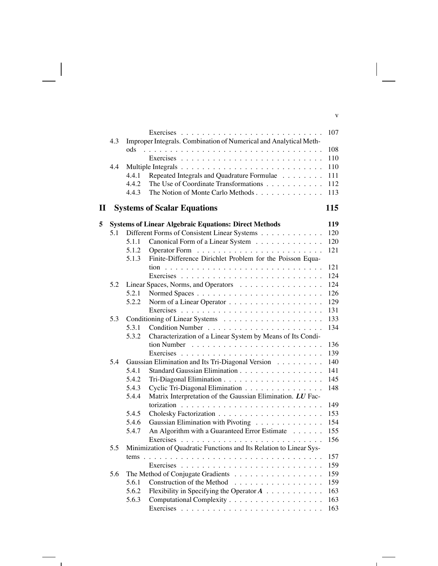|              |     |       |                                                                                            | 107 |
|--------------|-----|-------|--------------------------------------------------------------------------------------------|-----|
|              | 4.3 |       | Improper Integrals. Combination of Numerical and Analytical Meth-                          |     |
|              |     | ods   |                                                                                            | 108 |
|              |     |       |                                                                                            | 110 |
|              | 4.4 |       |                                                                                            | 110 |
|              |     | 4.4.1 | Repeated Integrals and Quadrature Formulae                                                 | 111 |
|              |     | 4.4.2 | The Use of Coordinate Transformations                                                      | 112 |
|              |     | 4.4.3 | The Notion of Monte Carlo Methods                                                          | 113 |
| $\mathbf{I}$ |     |       | <b>Systems of Scalar Equations</b>                                                         | 115 |
| 5            |     |       | <b>Systems of Linear Algebraic Equations: Direct Methods</b>                               | 119 |
|              | 5.1 |       | Different Forms of Consistent Linear Systems                                               | 120 |
|              |     | 5.1.1 | Canonical Form of a Linear System                                                          | 120 |
|              |     | 5.1.2 |                                                                                            | 121 |
|              |     | 5.1.3 | Finite-Difference Dirichlet Problem for the Poisson Equa-                                  |     |
|              |     |       |                                                                                            | 121 |
|              |     |       |                                                                                            | 124 |
|              | 5.2 |       | Linear Spaces, Norms, and Operators                                                        | 124 |
|              |     | 5.2.1 |                                                                                            | 126 |
|              |     | 5.2.2 |                                                                                            | 129 |
|              |     |       |                                                                                            | 131 |
|              | 5.3 |       |                                                                                            | 133 |
|              |     | 5.3.1 |                                                                                            | 134 |
|              |     | 5.3.2 | Characterization of a Linear System by Means of Its Condi-                                 |     |
|              |     |       | tion Number $\ldots \ldots \ldots \ldots \ldots \ldots \ldots \ldots$                      | 136 |
|              |     |       |                                                                                            | 139 |
|              | 5.4 |       | Gaussian Elimination and Its Tri-Diagonal Version                                          | 140 |
|              |     | 5.4.1 | Standard Gaussian Elimination                                                              | 141 |
|              |     | 5.4.2 |                                                                                            | 145 |
|              |     | 5.4.3 | Cyclic Tri-Diagonal Elimination                                                            | 148 |
|              |     | 5.4.4 | Matrix Interpretation of the Gaussian Elimination. LU Fac-                                 |     |
|              |     |       |                                                                                            | 149 |
|              |     | 5.4.5 |                                                                                            | 153 |
|              |     | 5.4.6 | Gaussian Elimination with Pivoting                                                         | 154 |
|              |     | 5.4.7 | An Algorithm with a Guaranteed Error Estimate                                              | 155 |
|              |     |       |                                                                                            | 156 |
|              | 5.5 |       | Minimization of Quadratic Functions and Its Relation to Linear Sys-                        |     |
|              |     | tems. |                                                                                            | 157 |
|              |     |       |                                                                                            | 159 |
|              | 5.6 |       |                                                                                            | 159 |
|              |     | 5.6.1 | Construction of the Method<br>.                                                            | 159 |
|              |     | 5.6.2 | Flexibility in Specifying the Operator $A \cdot \cdot \cdot \cdot \cdot \cdot \cdot \cdot$ | 163 |
|              |     | 5.6.3 |                                                                                            | 163 |
|              |     |       |                                                                                            | 163 |

 $\frac{1}{2}$ 

 $\overline{\phantom{a}}$ 

v

 $\frac{1}{\sqrt{1-\frac{1}{2}}}$ 

 $\mathbb{L}$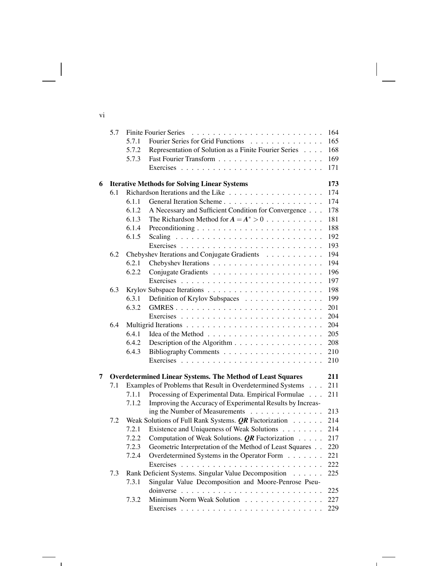|   | 5.7 |       |                                                                    | 164 |
|---|-----|-------|--------------------------------------------------------------------|-----|
|   |     | 5.7.1 | Fourier Series for Grid Functions                                  | 165 |
|   |     | 5.7.2 | Representation of Solution as a Finite Fourier Series              | 168 |
|   |     | 5.7.3 |                                                                    | 169 |
|   |     |       |                                                                    | 171 |
| 6 |     |       | <b>Iterative Methods for Solving Linear Systems</b>                | 173 |
|   | 6.1 |       |                                                                    | 174 |
|   |     | 6.1.1 |                                                                    | 174 |
|   |     | 6.1.2 | A Necessary and Sufficient Condition for Convergence               | 178 |
|   |     | 6.1.3 | The Richardson Method for $A = A^* > 0$                            | 181 |
|   |     | 6.1.4 |                                                                    | 188 |
|   |     | 6.1.5 |                                                                    | 192 |
|   |     |       |                                                                    | 193 |
|   | 6.2 |       | Chebyshev Iterations and Conjugate Gradients                       | 194 |
|   |     | 6.2.1 |                                                                    | 194 |
|   |     | 6.2.2 |                                                                    | 196 |
|   |     |       |                                                                    | 197 |
|   | 6.3 |       |                                                                    | 198 |
|   |     | 6.3.1 | Definition of Krylov Subspaces                                     | 199 |
|   |     | 6.3.2 |                                                                    | 201 |
|   |     |       |                                                                    | 204 |
|   | 6.4 |       |                                                                    | 204 |
|   |     | 6.4.1 |                                                                    | 205 |
|   |     | 6.4.2 | Description of the Algorithm $\dots \dots \dots \dots \dots \dots$ | 208 |
|   |     | 6.4.3 |                                                                    | 210 |
|   |     |       |                                                                    | 210 |
| 7 |     |       | <b>Overdetermined Linear Systems. The Method of Least Squares</b>  | 211 |
|   | 7.1 |       | Examples of Problems that Result in Overdetermined Systems         | 211 |
|   |     | 7.1.1 | Processing of Experimental Data. Empirical Formulae                | 211 |
|   |     | 7.1.2 | Improving the Accuracy of Experimental Results by Increas-         |     |
|   |     |       | ing the Number of Measurements                                     | 213 |
|   | 7.2 |       | Weak Solutions of Full Rank Systems. $QR$ Factorization            | 214 |
|   |     | 7.2.1 | Existence and Uniqueness of Weak Solutions                         | 214 |
|   |     | 7.2.2 | Computation of Weak Solutions. <i>QR</i> Factorization $\ldots$ .  | 217 |
|   |     | 7.2.3 | Geometric Interpretation of the Method of Least Squares            | 220 |
|   |     | 7.2.4 | Overdetermined Systems in the Operator Form                        | 221 |
|   |     |       |                                                                    | 222 |
|   | 7.3 |       | Rank Deficient Systems. Singular Value Decomposition               | 225 |
|   |     | 7.3.1 | Singular Value Decomposition and Moore-Penrose Pseu-               |     |
|   |     |       |                                                                    | 225 |
|   |     | 7.3.2 | Minimum Norm Weak Solution                                         | 227 |
|   |     |       |                                                                    | 229 |
|   |     |       |                                                                    |     |

vi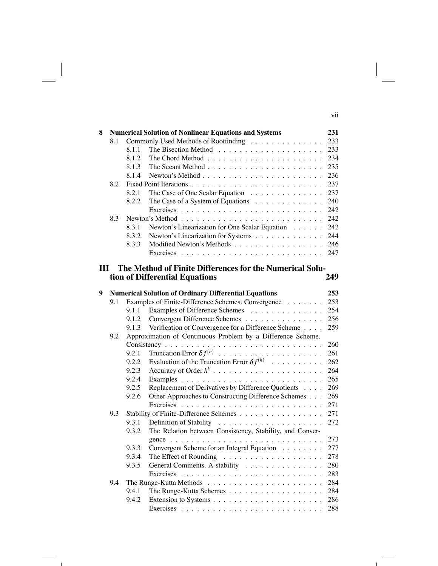| 8 | <b>Numerical Solution of Nonlinear Equations and Systems</b> |       |                                                                           |     |  |
|---|--------------------------------------------------------------|-------|---------------------------------------------------------------------------|-----|--|
|   | 8.1                                                          |       | Commonly Used Methods of Rootfinding                                      | 233 |  |
|   |                                                              | 8.1.1 |                                                                           | 233 |  |
|   |                                                              | 8.1.2 | The Chord Method $\ldots \ldots \ldots \ldots \ldots \ldots \ldots$       | 234 |  |
|   |                                                              | 8.1.3 | The Secant Method $\ldots$ , $\ldots$ , $\ldots$ , $\ldots$ , $\ldots$    | 235 |  |
|   |                                                              | 8.1.4 |                                                                           | 236 |  |
|   | 8.2                                                          |       |                                                                           | 237 |  |
|   |                                                              | 8.2.1 | The Case of One Scalar Equation                                           | 237 |  |
|   |                                                              | 8.2.2 | The Case of a System of Equations $\ldots \ldots \ldots \ldots$           | 240 |  |
|   |                                                              |       |                                                                           | 242 |  |
|   | 8.3                                                          |       | Newton's Method $\ldots \ldots \ldots \ldots \ldots \ldots \ldots \ldots$ | 242 |  |
|   |                                                              | 8.3.1 | Newton's Linearization for One Scalar Equation                            | 242 |  |
|   |                                                              | 8.3.2 | Newton's Linearization for Systems                                        | 244 |  |
|   |                                                              | 8.3.3 | Modified Newton's Methods                                                 | 246 |  |
|   |                                                              |       |                                                                           | 247 |  |
| Ш |                                                              |       | The Method of Finite Differences for the Numerical Solu-                  |     |  |
|   |                                                              |       | tion of Differential Equations                                            | 249 |  |
|   |                                                              |       |                                                                           |     |  |
| 9 |                                                              |       | <b>Numerical Solution of Ordinary Differential Equations</b>              | 253 |  |
|   | 9.1                                                          |       | Examples of Finite-Difference Schemes. Convergence                        | 253 |  |
|   |                                                              | 9.1.1 | Examples of Difference Schemes                                            | 254 |  |
|   |                                                              | 9.1.2 | Convergent Difference Schemes                                             | 256 |  |
|   |                                                              | 9.1.3 | Verification of Convergence for a Difference Scheme                       | 259 |  |
|   | 9.2                                                          |       | Approximation of Continuous Problem by a Difference Scheme.               |     |  |
|   |                                                              |       |                                                                           | 260 |  |
|   |                                                              | 9.2.1 | Truncation Error $\delta f^{(h)}$                                         | 261 |  |
|   |                                                              | 9.2.2 | Evaluation of the Truncation Error $\delta f^{(h)}$                       | 262 |  |
|   |                                                              | 9.2.3 |                                                                           | 264 |  |
|   |                                                              | 9.2.4 |                                                                           | 265 |  |
|   |                                                              | 9.2.5 | Replacement of Derivatives by Difference Quotients                        | 269 |  |
|   |                                                              | 9.2.6 | Other Approaches to Constructing Difference Schemes                       | 269 |  |
|   |                                                              |       |                                                                           | 271 |  |
|   | 9.3                                                          |       | Stability of Finite-Difference Schemes                                    | 271 |  |
|   |                                                              | 9.3.1 |                                                                           | 272 |  |
|   |                                                              | 9.3.2 | The Relation between Consistency, Stability, and Conver-                  |     |  |
|   |                                                              |       |                                                                           | 273 |  |
|   |                                                              | 9.3.3 | Convergent Scheme for an Integral Equation                                | 277 |  |
|   |                                                              | 9.3.4 | The Effect of Rounding<br>.                                               | 278 |  |
|   |                                                              | 9.3.5 | General Comments. A-stability                                             | 280 |  |
|   |                                                              |       | Exercises                                                                 | 283 |  |
|   | 9.4                                                          |       |                                                                           | 284 |  |
|   |                                                              | 9.4.1 |                                                                           | 284 |  |
|   |                                                              | 9.4.2 |                                                                           | 286 |  |
|   |                                                              |       |                                                                           | 288 |  |

 $\mathbf{I}$ 

vii

 $\mathbf{L}$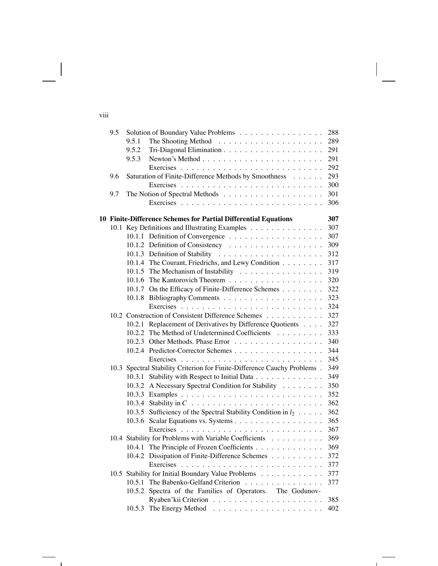| 9.5 |        | Solution of Boundary Value Problems                                             | 288 |
|-----|--------|---------------------------------------------------------------------------------|-----|
|     | 9.5.1  |                                                                                 | 289 |
|     | 9.5.2  |                                                                                 | 291 |
|     | 9.5.3  |                                                                                 | 291 |
|     |        |                                                                                 | 292 |
| 9.6 |        | Saturation of Finite-Difference Methods by Smoothness                           | 293 |
|     |        |                                                                                 | 300 |
| 9.7 |        |                                                                                 | 301 |
|     |        |                                                                                 | 306 |
|     |        | 10 Finite-Difference Schemes for Partial Differential Equations                 | 307 |
|     |        | 10.1 Key Definitions and Illustrating Examples                                  | 307 |
|     |        |                                                                                 | 307 |
|     |        |                                                                                 | 309 |
|     |        |                                                                                 | 312 |
|     |        | 10.1.4 The Courant, Friedrichs, and Lewy Condition                              | 317 |
|     |        | 10.1.5 The Mechanism of Instability                                             | 319 |
|     |        |                                                                                 | 320 |
|     |        | 10.1.7 On the Efficacy of Finite-Difference Schemes                             | 322 |
|     |        |                                                                                 | 323 |
|     |        |                                                                                 | 324 |
|     |        | 10.2 Construction of Consistent Difference Schemes                              | 327 |
|     | 10.2.1 | Replacement of Derivatives by Difference Quotients                              | 327 |
|     |        | 10.2.2 The Method of Undetermined Coefficients                                  | 333 |
|     |        |                                                                                 | 340 |
|     |        | 10.2.4 Predictor-Corrector Schemes                                              | 344 |
|     |        |                                                                                 | 345 |
|     |        | 10.3 Spectral Stability Criterion for Finite-Difference Cauchy Problems.        | 349 |
|     |        | 10.3.1 Stability with Respect to Initial Data                                   | 349 |
|     |        | 10.3.2 A Necessary Spectral Condition for Stability                             | 350 |
|     |        |                                                                                 | 352 |
|     |        | 10.3.4 Stability in $C \ldots \ldots \ldots \ldots \ldots \ldots \ldots \ldots$ | 362 |
|     |        | 10.3.5 Sufficiency of the Spectral Stability Condition in $l_2$                 | 362 |
|     |        |                                                                                 | 365 |
|     |        |                                                                                 | 367 |
|     |        | 10.4 Stability for Problems with Variable Coefficients                          | 369 |
|     |        | 10.4.1 The Principle of Frozen Coefficients                                     | 369 |
|     |        | 10.4.2 Dissipation of Finite-Difference Schemes                                 | 372 |
|     |        |                                                                                 | 377 |
|     |        | 10.5 Stability for Initial Boundary Value Problems                              | 377 |
|     |        | 10.5.1 The Babenko-Gelfand Criterion                                            | 377 |
|     |        | 10.5.2 Spectra of the Families of Operators. The Godunov-                       |     |
|     |        |                                                                                 | 385 |
|     |        |                                                                                 | 402 |

**Contractor** 

#### viii

 $\mathbf{I}$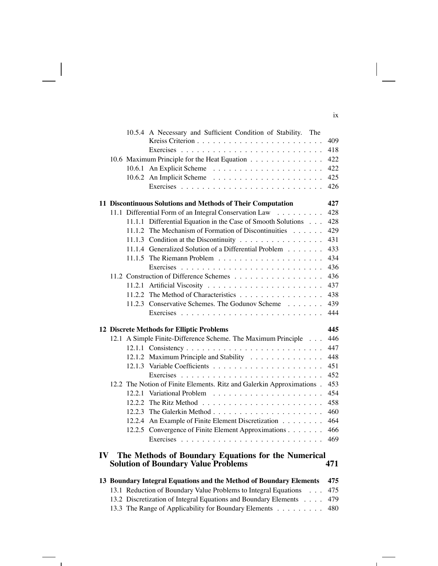| 10.5.4 A Necessary and Sufficient Condition of Stability. The                                                      |     |
|--------------------------------------------------------------------------------------------------------------------|-----|
|                                                                                                                    | 409 |
|                                                                                                                    | 418 |
| 10.6 Maximum Principle for the Heat Equation                                                                       | 422 |
|                                                                                                                    | 422 |
|                                                                                                                    | 425 |
|                                                                                                                    | 426 |
| 11 Discontinuous Solutions and Methods of Their Computation                                                        | 427 |
| 11.1 Differential Form of an Integral Conservation Law                                                             | 428 |
| 11.1.1 Differential Equation in the Case of Smooth Solutions                                                       | 428 |
| 11.1.2 The Mechanism of Formation of Discontinuities                                                               | 429 |
| 11.1.3 Condition at the Discontinuity                                                                              | 431 |
| 11.1.4 Generalized Solution of a Differential Problem                                                              | 433 |
|                                                                                                                    | 434 |
|                                                                                                                    | 436 |
| 11.2 Construction of Difference Schemes                                                                            | 436 |
|                                                                                                                    | 437 |
| 11.2.2 The Method of Characteristics                                                                               | 438 |
| 11.2.3 Conservative Schemes. The Godunov Scheme                                                                    | 439 |
|                                                                                                                    | 444 |
| 12 Discrete Methods for Elliptic Problems                                                                          | 445 |
| 12.1 A Simple Finite-Difference Scheme. The Maximum Principle                                                      | 446 |
|                                                                                                                    | 447 |
| 12.1.2 Maximum Principle and Stability                                                                             | 448 |
|                                                                                                                    | 451 |
|                                                                                                                    | 452 |
| 12.2 The Notion of Finite Elements. Ritz and Galerkin Approximations.                                              | 453 |
|                                                                                                                    | 454 |
|                                                                                                                    | 458 |
| 12.2.3 The Galerkin Method $\ldots$ ,                                                                              | 460 |
| 12.2.4 An Example of Finite Element Discretization                                                                 | 464 |
| 12.2.5 Convergence of Finite Element Approximations                                                                | 466 |
|                                                                                                                    | 469 |
| The Methods of Boundary Equations for the Numerical<br>$\mathbf{IV}$<br><b>Solution of Boundary Value Problems</b> | 471 |
| 13 Boundary Integral Equations and the Method of Boundary Elements                                                 | 475 |

| 13.1 Reduction of Boundary Value Problems to Integral Equations 475 |  |
|---------------------------------------------------------------------|--|
| 13.2 Discretization of Integral Equations and Boundary Elements 479 |  |
| 13.3 The Range of Applicability for Boundary Elements 480           |  |

ix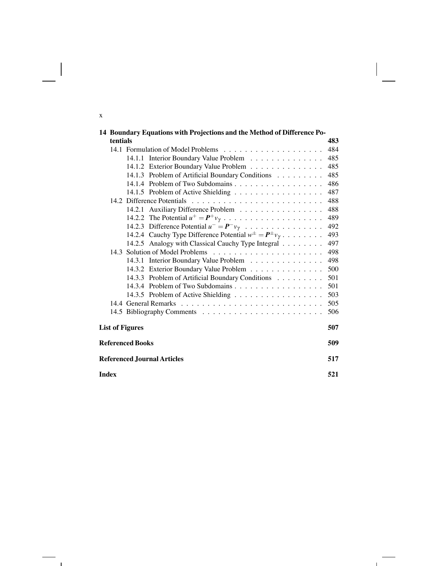| 14 Boundary Equations with Projections and the Method of Difference Po-           |     |  |  |
|-----------------------------------------------------------------------------------|-----|--|--|
| tentials                                                                          | 483 |  |  |
|                                                                                   | 484 |  |  |
| 14.1.1 Interior Boundary Value Problem                                            | 485 |  |  |
| 14.1.2 Exterior Boundary Value Problem                                            | 485 |  |  |
| 14.1.3 Problem of Artificial Boundary Conditions                                  | 485 |  |  |
| 14.1.4 Problem of Two Subdomains                                                  | 486 |  |  |
| 14.1.5 Problem of Active Shielding                                                | 487 |  |  |
|                                                                                   | 488 |  |  |
| Auxiliary Difference Problem<br>14.2.1                                            | 488 |  |  |
|                                                                                   | 489 |  |  |
| 14.2.3 Difference Potential $u^- = \mathbf{P}^- v_\gamma$                         | 492 |  |  |
| 14.2.4 Cauchy Type Difference Potential $w^{\pm} = P^{\pm}v_{\gamma} \dots \dots$ | 493 |  |  |
| 14.2.5 Analogy with Classical Cauchy Type Integral                                | 497 |  |  |
|                                                                                   | 498 |  |  |
| 14.3.1 Interior Boundary Value Problem                                            | 498 |  |  |
| 14.3.2 Exterior Boundary Value Problem                                            | 500 |  |  |
| 14.3.3 Problem of Artificial Boundary Conditions                                  | 501 |  |  |
|                                                                                   | 501 |  |  |
| 14.3.5 Problem of Active Shielding                                                | 503 |  |  |
|                                                                                   | 505 |  |  |
|                                                                                   | 506 |  |  |
| <b>List of Figures</b>                                                            | 507 |  |  |
| <b>Referenced Books</b>                                                           | 509 |  |  |
| <b>Referenced Journal Articles</b>                                                | 517 |  |  |
| <b>Index</b>                                                                      | 521 |  |  |

 $\mathcal{L}_{\mathcal{A}}$ 

 $\overline{a}$ 

x

 $\mathcal{L}_{\mathcal{A}}$ 

 $\mathbf{1}^{\mathbf{1}}$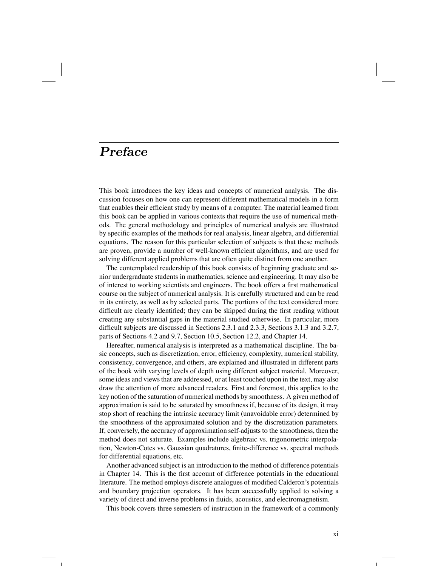### *Preface*

This book introduces the key ideas and concepts of numerical analysis. The discussion focuses on how one can represent different mathematical models in a form that enables their efficient study by means of a computer. The material learned from this book can be applied in various contexts that require the use of numerical methods. The general methodology and principles of numerical analysis are illustrated by specific examples of the methods for real analysis, linear algebra, and differential equations. The reason for this particular selection of subjects is that these methods are proven, provide a number of well-known efficient algorithms, and are used for solving different applied problems that are often quite distinct from one another.

The contemplated readership of this book consists of beginning graduate and senior undergraduate students in mathematics, science and engineering. It may also be of interest to working scientists and engineers. The book offers a first mathematical course on the subject of numerical analysis. It is carefully structured and can be read in its entirety, as well as by selected parts. The portions of the text considered more difficult are clearly identified; they can be skipped during the first reading without creating any substantial gaps in the material studied otherwise. In particular, more difficult subjects are discussed in Sections 2.3.1 and 2.3.3, Sections 3.1.3 and 3.2.7, parts of Sections 4.2 and 9.7, Section 10.5, Section 12.2, and Chapter 14.

Hereafter, numerical analysis is interpreted as a mathematical discipline. The basic concepts, such as discretization, error, efficiency, complexity, numerical stability, consistency, convergence, and others, are explained and illustrated in different parts of the book with varying levels of depth using different subject material. Moreover, some ideas and views that are addressed, or at least touched upon in the text, may also draw the attention of more advanced readers. First and foremost, this applies to the key notion of the saturation of numerical methods by smoothness. A given method of approximation is said to be saturated by smoothness if, because of its design, it may stop short of reaching the intrinsic accuracy limit (unavoidable error) determined by the smoothness of the approximated solution and by the discretization parameters. If, conversely, the accuracy of approximation self-adjusts to the smoothness, then the method does not saturate. Examples include algebraic vs. trigonometric interpolation, Newton-Cotes vs. Gaussian quadratures, finite-difference vs. spectral methods for differential equations, etc.

Another advanced subject is an introduction to the method of difference potentials in Chapter 14. This is the first account of difference potentials in the educational literature. The method employs discrete analogues of modified Calderon's potentials and boundary projection operators. It has been successfully applied to solving a variety of direct and inverse problems in fluids, acoustics, and electromagnetism.

This book covers three semesters of instruction in the framework of a commonly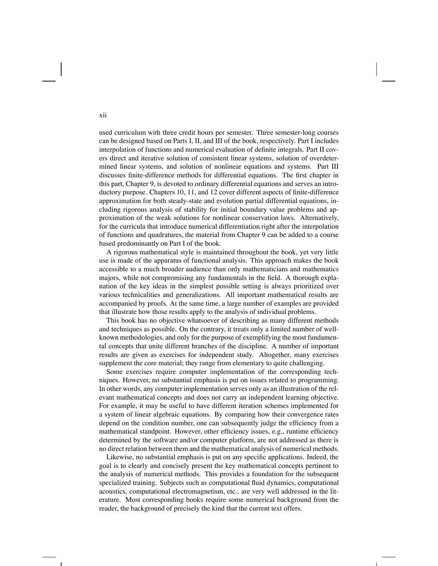used curriculum with three credit hours per semester. Three semester-long courses can be designed based on Parts I, II, and III of the book, respectively. Part I includes interpolation of functions and numerical evaluation of definite integrals. Part II covers direct and iterative solution of consistent linear systems, solution of overdetermined linear systems, and solution of nonlinear equations and systems. Part III discusses finite-difference methods for differential equations. The first chapter in this part, Chapter 9, is devoted to ordinary differential equations and serves an introductory purpose. Chapters 10, 11, and 12 cover different aspects of finite-difference approximation for both steady-state and evolution partial differential equations, including rigorous analysis of stability for initial boundary value problems and approximation of the weak solutions for nonlinear conservation laws. Alternatively, for the curricula that introduce numerical differentiation right after the interpolation of functions and quadratures, the material from Chapter 9 can be added to a course based predominantly on Part I of the book.

A rigorous mathematical style is maintained throughout the book, yet very little use is made of the apparatus of functional analysis. This approach makes the book accessible to a much broader audience than only mathematicians and mathematics majors, while not compromising any fundamentals in the field. A thorough explanation of the key ideas in the simplest possible setting is always prioritized over various technicalities and generalizations. All important mathematical results are accompanied by proofs. At the same time, a large number of examples are provided that illustrate how those results apply to the analysis of individual problems.

This book has no objective whatsoever of describing as many different methods and techniques as possible. On the contrary, it treats only a limited number of wellknown methodologies, and only for the purpose of exemplifying the most fundamental concepts that unite different branches of the discipline. A number of important results are given as exercises for independent study. Altogether, many exercises supplement the core material; they range from elementary to quite challenging.

Some exercises require computer implementation of the corresponding techniques. However, no substantial emphasis is put on issues related to programming. In other words, any computer implementation serves only as an illustration of the relevant mathematical concepts and does not carry an independent learning objective. For example, it may be useful to have different iteration schemes implemented for a system of linear algebraic equations. By comparing how their convergence rates depend on the condition number, one can subsequently judge the efficiency from a mathematical standpoint. However, other efficiency issues, e.g., runtime efficiency determined by the software and/or computer platform, are not addressed as there is no direct relation between them and the mathematical analysis of numerical methods.

Likewise, no substantial emphasis is put on any specific applications. Indeed, the goal is to clearly and concisely present the key mathematical concepts pertinent to the analysis of numerical methods. This provides a foundation for the subsequent specialized training. Subjects such as computational fluid dynamics, computational acoustics, computational electromagnetism, etc., are very well addressed in the literature. Most corresponding books require some numerical background from the reader, the background of precisely the kind that the current text offers.

xii